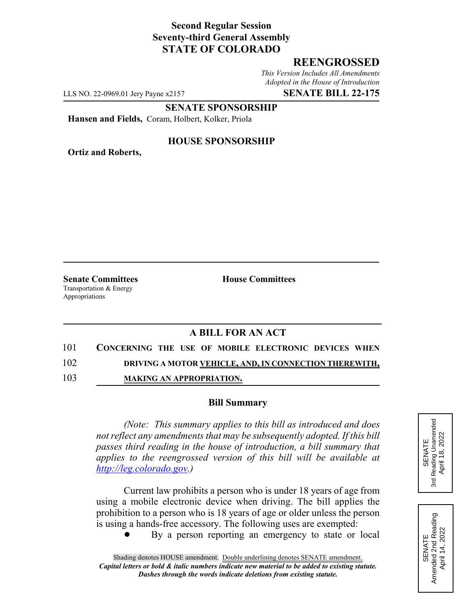## **Second Regular Session Seventy-third General Assembly STATE OF COLORADO**

## **REENGROSSED**

*This Version Includes All Amendments Adopted in the House of Introduction*

LLS NO. 22-0969.01 Jery Payne x2157 **SENATE BILL 22-175**

**SENATE SPONSORSHIP**

**Hansen and Fields,** Coram, Holbert, Kolker, Priola

**Ortiz and Roberts,**

#### **HOUSE SPONSORSHIP**

**Senate Committees House Committees** Transportation & Energy Appropriations

# **A BILL FOR AN ACT**

101 **CONCERNING THE USE OF MOBILE ELECTRONIC DEVICES WHEN**

102 **DRIVING A MOTOR VEHICLE, AND, IN CONNECTION THEREWITH,**

103 **MAKING AN APPROPRIATION.**

#### **Bill Summary**

*(Note: This summary applies to this bill as introduced and does not reflect any amendments that may be subsequently adopted. If this bill passes third reading in the house of introduction, a bill summary that applies to the reengrossed version of this bill will be available at http://leg.colorado.gov.)*

Current law prohibits a person who is under 18 years of age from using a mobile electronic device when driving. The bill applies the prohibition to a person who is 18 years of age or older unless the person is using a hands-free accessory. The following uses are exempted:

By a person reporting an emergency to state or local



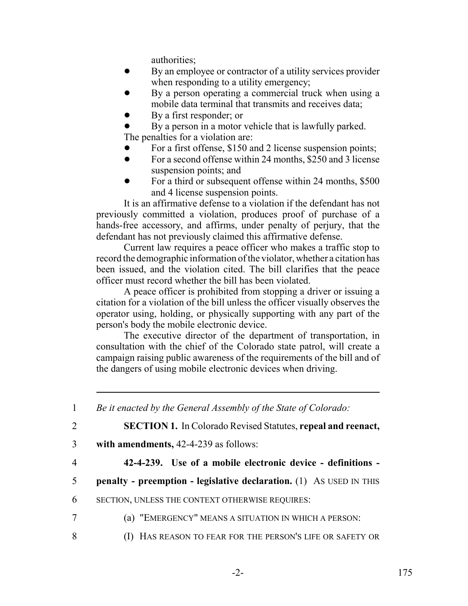authorities;

- By an employee or contractor of a utility services provider when responding to a utility emergency;
- By a person operating a commercial truck when using a mobile data terminal that transmits and receives data;
- By a first responder; or
- By a person in a motor vehicle that is lawfully parked.

The penalties for a violation are:

- For a first offense, \$150 and 2 license suspension points;
- For a second offense within 24 months, \$250 and 3 license suspension points; and
- For a third or subsequent offense within 24 months, \$500 and 4 license suspension points.

It is an affirmative defense to a violation if the defendant has not previously committed a violation, produces proof of purchase of a hands-free accessory, and affirms, under penalty of perjury, that the defendant has not previously claimed this affirmative defense.

Current law requires a peace officer who makes a traffic stop to record the demographic information of the violator, whether a citation has been issued, and the violation cited. The bill clarifies that the peace officer must record whether the bill has been violated.

A peace officer is prohibited from stopping a driver or issuing a citation for a violation of the bill unless the officer visually observes the operator using, holding, or physically supporting with any part of the person's body the mobile electronic device.

The executive director of the department of transportation, in consultation with the chief of the Colorado state patrol, will create a campaign raising public awareness of the requirements of the bill and of the dangers of using mobile electronic devices when driving.

1 *Be it enacted by the General Assembly of the State of Colorado:*

2 **SECTION 1.** In Colorado Revised Statutes, **repeal and reenact,**

- 3 **with amendments,** 42-4-239 as follows:
- 

4 **42-4-239. Use of a mobile electronic device - definitions -**

- 5 **penalty preemption legislative declaration.** (1) AS USED IN THIS
- 6 SECTION, UNLESS THE CONTEXT OTHERWISE REQUIRES:
- 7 (a) "EMERGENCY" MEANS A SITUATION IN WHICH A PERSON:
- 8 (I) HAS REASON TO FEAR FOR THE PERSON'S LIFE OR SAFETY OR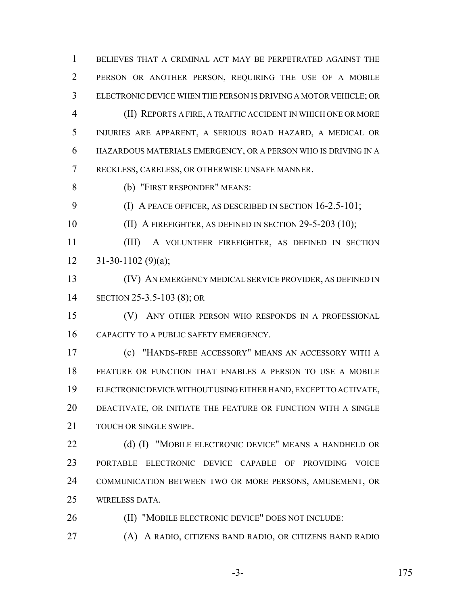BELIEVES THAT A CRIMINAL ACT MAY BE PERPETRATED AGAINST THE PERSON OR ANOTHER PERSON, REQUIRING THE USE OF A MOBILE ELECTRONIC DEVICE WHEN THE PERSON IS DRIVING A MOTOR VEHICLE; OR (II) REPORTS A FIRE, A TRAFFIC ACCIDENT IN WHICH ONE OR MORE INJURIES ARE APPARENT, A SERIOUS ROAD HAZARD, A MEDICAL OR HAZARDOUS MATERIALS EMERGENCY, OR A PERSON WHO IS DRIVING IN A RECKLESS, CARELESS, OR OTHERWISE UNSAFE MANNER.

(b) "FIRST RESPONDER" MEANS:

(I) A PEACE OFFICER, AS DESCRIBED IN SECTION 16-2.5-101;

10 (II) A FIREFIGHTER, AS DEFINED IN SECTION 29-5-203 (10);

 (III) A VOLUNTEER FIREFIGHTER, AS DEFINED IN SECTION  $12 \qquad 31-30-1102 \; (9)(a);$ 

 (IV) AN EMERGENCY MEDICAL SERVICE PROVIDER, AS DEFINED IN SECTION 25-3.5-103 (8); OR

 (V) ANY OTHER PERSON WHO RESPONDS IN A PROFESSIONAL CAPACITY TO A PUBLIC SAFETY EMERGENCY.

 (c) "HANDS-FREE ACCESSORY" MEANS AN ACCESSORY WITH A FEATURE OR FUNCTION THAT ENABLES A PERSON TO USE A MOBILE ELECTRONIC DEVICE WITHOUT USING EITHER HAND, EXCEPT TO ACTIVATE, DEACTIVATE, OR INITIATE THE FEATURE OR FUNCTION WITH A SINGLE TOUCH OR SINGLE SWIPE.

22 (d) (I) "MOBILE ELECTRONIC DEVICE" MEANS A HANDHELD OR PORTABLE ELECTRONIC DEVICE CAPABLE OF PROVIDING VOICE COMMUNICATION BETWEEN TWO OR MORE PERSONS, AMUSEMENT, OR WIRELESS DATA.

(II) "MOBILE ELECTRONIC DEVICE" DOES NOT INCLUDE:

(A) A RADIO, CITIZENS BAND RADIO, OR CITIZENS BAND RADIO

-3- 175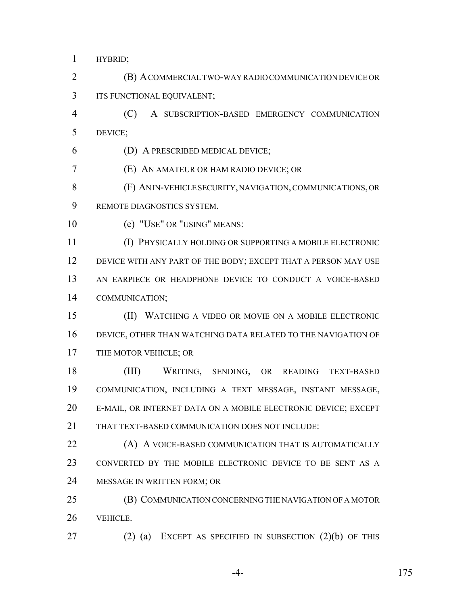HYBRID;

 (B) A COMMERCIAL TWO-WAY RADIO COMMUNICATION DEVICE OR ITS FUNCTIONAL EQUIVALENT;

 (C) A SUBSCRIPTION-BASED EMERGENCY COMMUNICATION DEVICE;

(D) A PRESCRIBED MEDICAL DEVICE;

(E) AN AMATEUR OR HAM RADIO DEVICE; OR

 (F) AN IN-VEHICLE SECURITY, NAVIGATION, COMMUNICATIONS, OR REMOTE DIAGNOSTICS SYSTEM.

(e) "USE" OR "USING" MEANS:

 (I) PHYSICALLY HOLDING OR SUPPORTING A MOBILE ELECTRONIC 12 DEVICE WITH ANY PART OF THE BODY; EXCEPT THAT A PERSON MAY USE AN EARPIECE OR HEADPHONE DEVICE TO CONDUCT A VOICE-BASED COMMUNICATION;

 (II) WATCHING A VIDEO OR MOVIE ON A MOBILE ELECTRONIC DEVICE, OTHER THAN WATCHING DATA RELATED TO THE NAVIGATION OF 17 THE MOTOR VEHICLE; OR

 (III) WRITING, SENDING, OR READING TEXT-BASED COMMUNICATION, INCLUDING A TEXT MESSAGE, INSTANT MESSAGE, E-MAIL, OR INTERNET DATA ON A MOBILE ELECTRONIC DEVICE; EXCEPT THAT TEXT-BASED COMMUNICATION DOES NOT INCLUDE:

**(A) A VOICE-BASED COMMUNICATION THAT IS AUTOMATICALLY**  CONVERTED BY THE MOBILE ELECTRONIC DEVICE TO BE SENT AS A MESSAGE IN WRITTEN FORM; OR

 (B) COMMUNICATION CONCERNING THE NAVIGATION OF A MOTOR VEHICLE.

(2) (a) EXCEPT AS SPECIFIED IN SUBSECTION (2)(b) OF THIS

-4- 175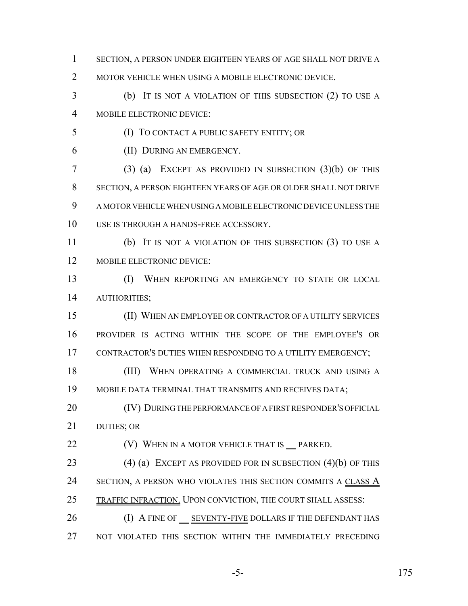- SECTION, A PERSON UNDER EIGHTEEN YEARS OF AGE SHALL NOT DRIVE A
- 2 MOTOR VEHICLE WHEN USING A MOBILE ELECTRONIC DEVICE.
- (b) IT IS NOT A VIOLATION OF THIS SUBSECTION (2) TO USE A MOBILE ELECTRONIC DEVICE:
- (I) TO CONTACT A PUBLIC SAFETY ENTITY; OR
- (II) DURING AN EMERGENCY.
- (3) (a) EXCEPT AS PROVIDED IN SUBSECTION (3)(b) OF THIS SECTION, A PERSON EIGHTEEN YEARS OF AGE OR OLDER SHALL NOT DRIVE A MOTOR VEHICLE WHEN USING A MOBILE ELECTRONIC DEVICE UNLESS THE USE IS THROUGH A HANDS-FREE ACCESSORY.
- (b) IT IS NOT A VIOLATION OF THIS SUBSECTION (3) TO USE A MOBILE ELECTRONIC DEVICE:
- (I) WHEN REPORTING AN EMERGENCY TO STATE OR LOCAL AUTHORITIES;
- (II) WHEN AN EMPLOYEE OR CONTRACTOR OF A UTILITY SERVICES PROVIDER IS ACTING WITHIN THE SCOPE OF THE EMPLOYEE'S OR 17 CONTRACTOR'S DUTIES WHEN RESPONDING TO A UTILITY EMERGENCY;
- 18 (III) WHEN OPERATING A COMMERCIAL TRUCK AND USING A MOBILE DATA TERMINAL THAT TRANSMITS AND RECEIVES DATA;
- 20 (IV) DURING THE PERFORMANCE OF A FIRST RESPONDER'S OFFICIAL DUTIES; OR
- **(V) WHEN IN A MOTOR VEHICLE THAT IS** PARKED.
- 23 (4) (a) EXCEPT AS PROVIDED FOR IN SUBSECTION (4)(b) OF THIS 24 SECTION, A PERSON WHO VIOLATES THIS SECTION COMMITS A CLASS A 25 TRAFFIC INFRACTION. UPON CONVICTION, THE COURT SHALL ASSESS:
- 26 (I) A FINE OF SEVENTY-FIVE DOLLARS IF THE DEFENDANT HAS NOT VIOLATED THIS SECTION WITHIN THE IMMEDIATELY PRECEDING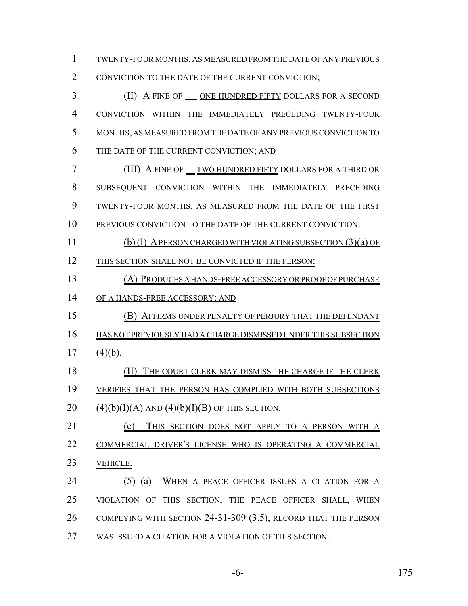TWENTY-FOUR MONTHS, AS MEASURED FROM THE DATE OF ANY PREVIOUS 2 CONVICTION TO THE DATE OF THE CURRENT CONVICTION;

3 (II) A FINE OF <u>ONE HUNDRED FIFTY</u> DOLLARS FOR A SECOND CONVICTION WITHIN THE IMMEDIATELY PRECEDING TWENTY-FOUR MONTHS, AS MEASURED FROM THE DATE OF ANY PREVIOUS CONVICTION TO THE DATE OF THE CURRENT CONVICTION; AND (III) A FINE OF TWO HUNDRED FIFTY DOLLARS FOR A THIRD OR SUBSEQUENT CONVICTION WITHIN THE IMMEDIATELY PRECEDING TWENTY-FOUR MONTHS, AS MEASURED FROM THE DATE OF THE FIRST PREVIOUS CONVICTION TO THE DATE OF THE CURRENT CONVICTION. (b) (I) A PERSON CHARGED WITH VIOLATING SUBSECTION (3)(a) OF THIS SECTION SHALL NOT BE CONVICTED IF THE PERSON: (A) PRODUCES A HANDS-FREE ACCESSORY OR PROOF OF PURCHASE 14 OF A HANDS-FREE ACCESSORY; AND (B) AFFIRMS UNDER PENALTY OF PERJURY THAT THE DEFENDANT HAS NOT PREVIOUSLY HAD A CHARGE DISMISSED UNDER THIS SUBSECTION (4)(b).

18 (II) THE COURT CLERK MAY DISMISS THE CHARGE IF THE CLERK VERIFIES THAT THE PERSON HAS COMPLIED WITH BOTH SUBSECTIONS 20  $(4)(b)(I)(A)$  AND  $(4)(b)(I)(B)$  OF THIS SECTION.

 (c) THIS SECTION DOES NOT APPLY TO A PERSON WITH A COMMERCIAL DRIVER'S LICENSE WHO IS OPERATING A COMMERCIAL VEHICLE.

 (5) (a) WHEN A PEACE OFFICER ISSUES A CITATION FOR A VIOLATION OF THIS SECTION, THE PEACE OFFICER SHALL, WHEN COMPLYING WITH SECTION 24-31-309 (3.5), RECORD THAT THE PERSON WAS ISSUED A CITATION FOR A VIOLATION OF THIS SECTION.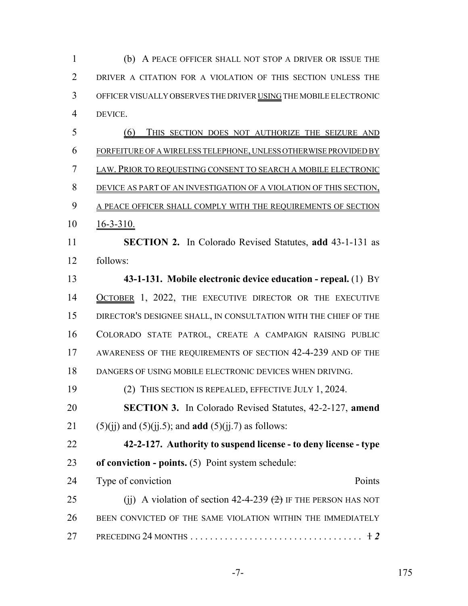(b) A PEACE OFFICER SHALL NOT STOP A DRIVER OR ISSUE THE DRIVER A CITATION FOR A VIOLATION OF THIS SECTION UNLESS THE OFFICER VISUALLY OBSERVES THE DRIVER USING THE MOBILE ELECTRONIC DEVICE. (6) THIS SECTION DOES NOT AUTHORIZE THE SEIZURE AND FORFEITURE OF A WIRELESS TELEPHONE, UNLESS OTHERWISE PROVIDED BY

 LAW. PRIOR TO REQUESTING CONSENT TO SEARCH A MOBILE ELECTRONIC DEVICE AS PART OF AN INVESTIGATION OF A VIOLATION OF THIS SECTION, 9 A PEACE OFFICER SHALL COMPLY WITH THE REQUIREMENTS OF SECTION

16-3-310.

 **SECTION 2.** In Colorado Revised Statutes, **add** 43-1-131 as follows:

 **43-1-131. Mobile electronic device education - repeal.** (1) BY 14 OCTOBER 1, 2022, THE EXECUTIVE DIRECTOR OR THE EXECUTIVE DIRECTOR'S DESIGNEE SHALL, IN CONSULTATION WITH THE CHIEF OF THE COLORADO STATE PATROL, CREATE A CAMPAIGN RAISING PUBLIC AWARENESS OF THE REQUIREMENTS OF SECTION 42-4-239 AND OF THE DANGERS OF USING MOBILE ELECTRONIC DEVICES WHEN DRIVING.

(2) THIS SECTION IS REPEALED, EFFECTIVE JULY 1, 2024.

 **SECTION 3.** In Colorado Revised Statutes, 42-2-127, **amend** 21 (5)(ji) and (5)(ji.5); and **add** (5)(ji.7) as follows:

 **42-2-127. Authority to suspend license - to deny license - type of conviction - points.** (5) Point system schedule:

| 24 | Type of conviction                                               | Points |
|----|------------------------------------------------------------------|--------|
| 25 | (ii) A violation of section 42-4-239 $(2)$ IF THE PERSON HAS NOT |        |
| 26 | BEEN CONVICTED OF THE SAME VIOLATION WITHIN THE IMMEDIATELY      |        |
| 27 |                                                                  |        |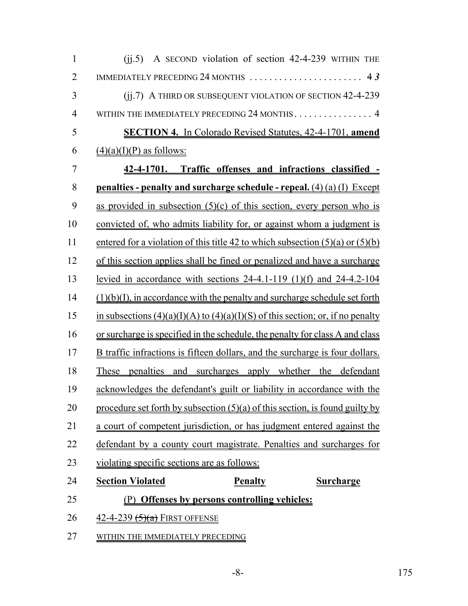| $\mathbf{1}$   | A SECOND violation of section 42-4-239 WITHIN THE<br>(ij.5)                                          |  |  |  |  |
|----------------|------------------------------------------------------------------------------------------------------|--|--|--|--|
| $\overline{2}$ |                                                                                                      |  |  |  |  |
| 3              | (ii.7) A THIRD OR SUBSEQUENT VIOLATION OF SECTION 42-4-239                                           |  |  |  |  |
| 4              | WITHIN THE IMMEDIATELY PRECEDING 24 MONTHS. 4                                                        |  |  |  |  |
| 5              | <b>SECTION 4.</b> In Colorado Revised Statutes, 42-4-1701, amend                                     |  |  |  |  |
| 6              | $(4)(a)(I)(P)$ as follows:                                                                           |  |  |  |  |
| 7              | 42-4-1701. Traffic offenses and infractions classified -                                             |  |  |  |  |
| 8              | <u>penalties - penalty and surcharge schedule - repeal. (4) (a) (I) Except</u>                       |  |  |  |  |
| 9              | as provided in subsection $(5)(c)$ of this section, every person who is                              |  |  |  |  |
| 10             | convicted of, who admits liability for, or against whom a judgment is                                |  |  |  |  |
| 11             | entered for a violation of this title 42 to which subsection $(5)(a)$ or $(5)(b)$                    |  |  |  |  |
| 12             | of this section applies shall be fined or penalized and have a surcharge                             |  |  |  |  |
| 13             | <u>levied in accordance with sections <math>24-4.1-119</math> (1)(f) and <math>24-4.2-104</math></u> |  |  |  |  |
| 14             | $(1)(b)(I)$ , in accordance with the penalty and surcharge schedule set forth                        |  |  |  |  |
| 15             | in subsections $(4)(a)(I)(A)$ to $(4)(a)(I)(S)$ of this section; or, if no penalty                   |  |  |  |  |
| 16             | or surcharge is specified in the schedule, the penalty for class A and class                         |  |  |  |  |
| 17             | B traffic infractions is fifteen dollars, and the surcharge is four dollars.                         |  |  |  |  |
| 18             | These penalties and surcharges apply whether the defendant                                           |  |  |  |  |
| 19             | acknowledges the defendant's guilt or liability in accordance with the                               |  |  |  |  |
| 20             | procedure set forth by subsection $(5)(a)$ of this section, is found guilty by                       |  |  |  |  |
| 21             | a court of competent jurisdiction, or has judgment entered against the                               |  |  |  |  |
| 22             | defendant by a county court magistrate. Penalties and surcharges for                                 |  |  |  |  |
| 23             | violating specific sections are as follows:                                                          |  |  |  |  |
| 24             | <b>Section Violated</b><br><b>Penalty</b><br><b>Surcharge</b>                                        |  |  |  |  |
| 25             | (P) Offenses by persons controlling vehicles:                                                        |  |  |  |  |
| 26             | <u>42-4-239 <del>(5)(a)</del></u> FIRST OFFENSE                                                      |  |  |  |  |
| 27             | WITHIN THE IMMEDIATELY PRECEDING                                                                     |  |  |  |  |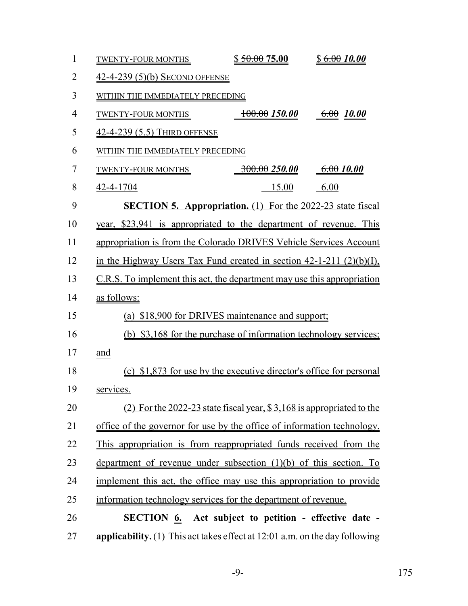| $\mathbf{1}$   | <b>TWENTY-FOUR MONTHS</b>                                                     | \$50.0075.00             | \$6.0010.00 |  |  |
|----------------|-------------------------------------------------------------------------------|--------------------------|-------------|--|--|
| $\overline{2}$ | $42-4-239$ $(5)(b)$ Second offense                                            |                          |             |  |  |
| 3              | WITHIN THE IMMEDIATELY PRECEDING                                              |                          |             |  |  |
| $\overline{4}$ | <b>TWENTY-FOUR MONTHS</b>                                                     | $\frac{100.00}{150.00}$  | 6.0010.00   |  |  |
| 5              | 42-4-239 (5.5) THIRD OFFENSE                                                  |                          |             |  |  |
| 6              | WITHIN THE IMMEDIATELY PRECEDING                                              |                          |             |  |  |
| 7              | <b>TWENTY-FOUR MONTHS</b>                                                     | <del>300.00</del> 250.00 | 6.0010.00   |  |  |
| 8              | 42-4-1704                                                                     | 15.00                    | 6.00        |  |  |
| 9              | <b>SECTION 5. Appropriation.</b> (1) For the 2022-23 state fiscal             |                          |             |  |  |
| 10             | year, \$23,941 is appropriated to the department of revenue. This             |                          |             |  |  |
| 11             | appropriation is from the Colorado DRIVES Vehicle Services Account            |                          |             |  |  |
| 12             | in the Highway Users Tax Fund created in section $42-1-211$ $(2)(b)(I)$ ,     |                          |             |  |  |
| 13             | C.R.S. To implement this act, the department may use this appropriation       |                          |             |  |  |
| 14             | as follows:                                                                   |                          |             |  |  |
| 15             | (a) \$18,900 for DRIVES maintenance and support;                              |                          |             |  |  |
| 16             | (b) \$3,168 for the purchase of information technology services;              |                          |             |  |  |
| 17             | and                                                                           |                          |             |  |  |
| 18             | (c) \$1,873 for use by the executive director's office for personal           |                          |             |  |  |
| 19             | services.                                                                     |                          |             |  |  |
| 20             | $(2)$ For the 2022-23 state fiscal year, \$3,168 is appropriated to the       |                          |             |  |  |
| 21             | office of the governor for use by the office of information technology.       |                          |             |  |  |
| 22             | This appropriation is from reappropriated funds received from the             |                          |             |  |  |
| 23             | department of revenue under subsection (1)(b) of this section. To             |                          |             |  |  |
| 24             | implement this act, the office may use this appropriation to provide          |                          |             |  |  |
| 25             | information technology services for the department of revenue.                |                          |             |  |  |
| 26             | <b>SECTION 6.</b> Act subject to petition - effective date -                  |                          |             |  |  |
| 27             | applicability. $(1)$ This act takes effect at 12:01 a.m. on the day following |                          |             |  |  |

-9- 175